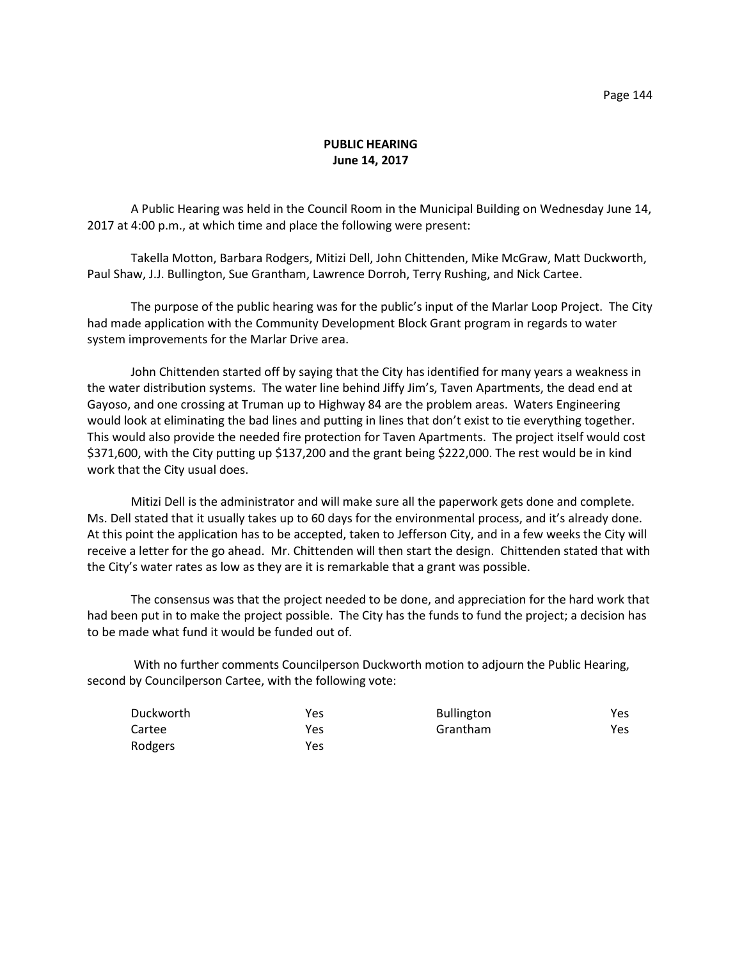## **PUBLIC HEARING June 14, 2017**

A Public Hearing was held in the Council Room in the Municipal Building on Wednesday June 14, 2017 at 4:00 p.m., at which time and place the following were present:

Takella Motton, Barbara Rodgers, Mitizi Dell, John Chittenden, Mike McGraw, Matt Duckworth, Paul Shaw, J.J. Bullington, Sue Grantham, Lawrence Dorroh, Terry Rushing, and Nick Cartee.

The purpose of the public hearing was for the public's input of the Marlar Loop Project. The City had made application with the Community Development Block Grant program in regards to water system improvements for the Marlar Drive area.

John Chittenden started off by saying that the City has identified for many years a weakness in the water distribution systems. The water line behind Jiffy Jim's, Taven Apartments, the dead end at Gayoso, and one crossing at Truman up to Highway 84 are the problem areas. Waters Engineering would look at eliminating the bad lines and putting in lines that don't exist to tie everything together. This would also provide the needed fire protection for Taven Apartments. The project itself would cost \$371,600, with the City putting up \$137,200 and the grant being \$222,000. The rest would be in kind work that the City usual does.

Mitizi Dell is the administrator and will make sure all the paperwork gets done and complete. Ms. Dell stated that it usually takes up to 60 days for the environmental process, and it's already done. At this point the application has to be accepted, taken to Jefferson City, and in a few weeks the City will receive a letter for the go ahead. Mr. Chittenden will then start the design. Chittenden stated that with the City's water rates as low as they are it is remarkable that a grant was possible.

The consensus was that the project needed to be done, and appreciation for the hard work that had been put in to make the project possible. The City has the funds to fund the project; a decision has to be made what fund it would be funded out of.

With no further comments Councilperson Duckworth motion to adjourn the Public Hearing, second by Councilperson Cartee, with the following vote:

| Duckworth | Yes | <b>Bullington</b> | Yes  |
|-----------|-----|-------------------|------|
| Cartee    | Yes | Grantham          | Yes. |
| Rodgers   | Yes |                   |      |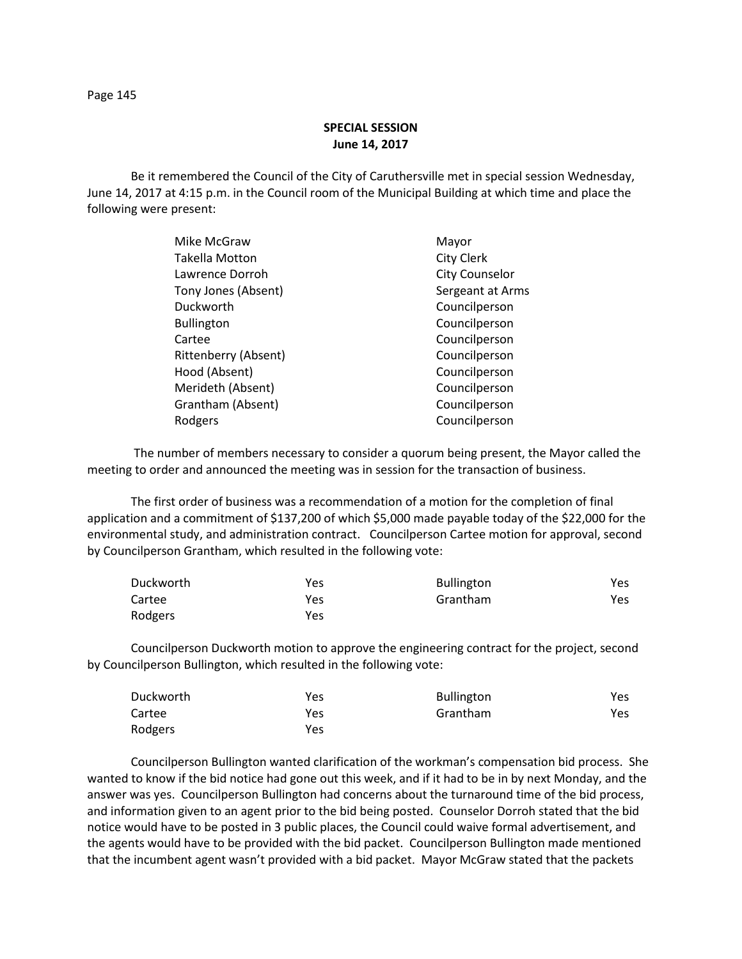## **SPECIAL SESSION June 14, 2017**

Be it remembered the Council of the City of Caruthersville met in special session Wednesday, June 14, 2017 at 4:15 p.m. in the Council room of the Municipal Building at which time and place the following were present:

| Mike McGraw          | Mayor                 |
|----------------------|-----------------------|
| Takella Motton       | <b>City Clerk</b>     |
| Lawrence Dorroh      | <b>City Counselor</b> |
| Tony Jones (Absent)  | Sergeant at Arms      |
| Duckworth            | Councilperson         |
| <b>Bullington</b>    | Councilperson         |
| Cartee               | Councilperson         |
| Rittenberry (Absent) | Councilperson         |
| Hood (Absent)        | Councilperson         |
| Merideth (Absent)    | Councilperson         |
| Grantham (Absent)    | Councilperson         |
| Rodgers              | Councilperson         |
|                      |                       |

The number of members necessary to consider a quorum being present, the Mayor called the meeting to order and announced the meeting was in session for the transaction of business.

The first order of business was a recommendation of a motion for the completion of final application and a commitment of \$137,200 of which \$5,000 made payable today of the \$22,000 for the environmental study, and administration contract. Councilperson Cartee motion for approval, second by Councilperson Grantham, which resulted in the following vote:

| Duckworth | Yes | <b>Bullington</b> | Yes. |
|-----------|-----|-------------------|------|
| Cartee    | Yes | Grantham          | Yes  |
| Rodgers   | Yes |                   |      |

Councilperson Duckworth motion to approve the engineering contract for the project, second by Councilperson Bullington, which resulted in the following vote:

| Duckworth | Yes | <b>Bullington</b> | Yes |
|-----------|-----|-------------------|-----|
| Cartee    | Yes | Grantham          | Yes |
| Rodgers   | Yes |                   |     |

Councilperson Bullington wanted clarification of the workman's compensation bid process. She wanted to know if the bid notice had gone out this week, and if it had to be in by next Monday, and the answer was yes. Councilperson Bullington had concerns about the turnaround time of the bid process, and information given to an agent prior to the bid being posted. Counselor Dorroh stated that the bid notice would have to be posted in 3 public places, the Council could waive formal advertisement, and the agents would have to be provided with the bid packet. Councilperson Bullington made mentioned that the incumbent agent wasn't provided with a bid packet. Mayor McGraw stated that the packets